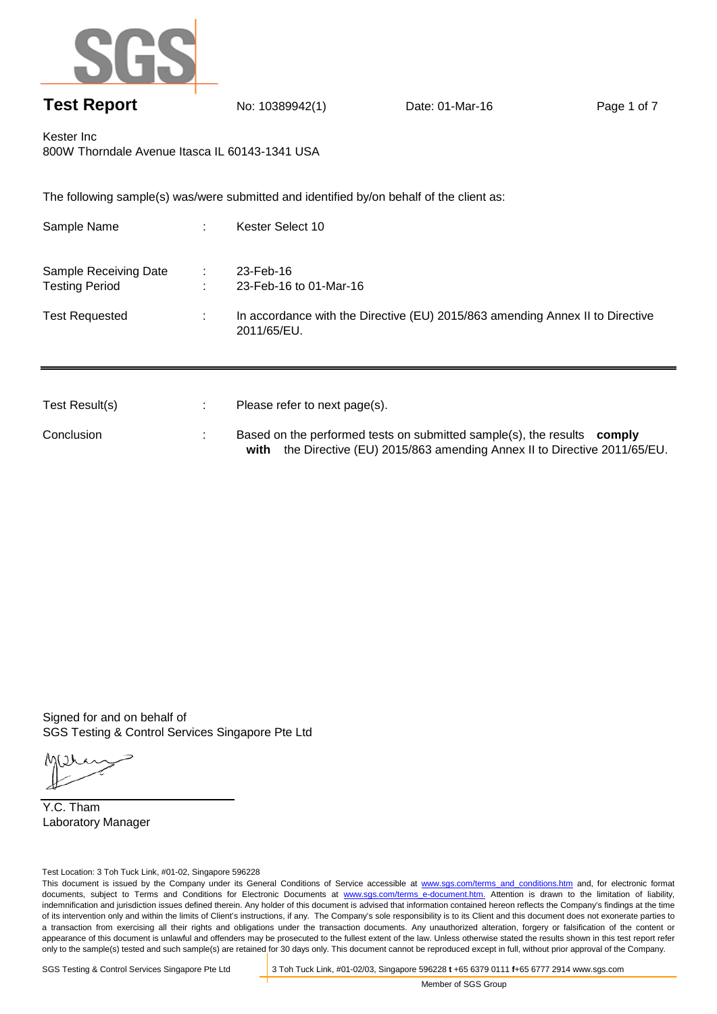

## **Test Report** No: 10389942(1) Date: 01-Mar-16 Page 1 of 7

**with** the Directive (EU) 2015/863 amending Annex II to Directive 2011/65/EU.

Kester Inc 800W Thorndale Avenue Itasca IL 60143-1341 USA

The following sample(s) was/were submitted and identified by/on behalf of the client as:

| Sample Name                                    |    | Kester Select 10                                                                             |
|------------------------------------------------|----|----------------------------------------------------------------------------------------------|
| Sample Receiving Date<br><b>Testing Period</b> |    | 23-Feb-16<br>23-Feb-16 to 01-Mar-16                                                          |
| <b>Test Requested</b>                          |    | In accordance with the Directive (EU) 2015/863 amending Annex II to Directive<br>2011/65/EU. |
|                                                |    |                                                                                              |
| Test Result(s)                                 | ٠. | Please refer to next page(s).                                                                |
| Conclusion                                     |    | Based on the performed tests on submitted sample(s), the results<br>comply                   |

Signed for and on behalf of SGS Testing & Control Services Singapore Pte Ltd

Y.C. Tham Laboratory Manager

Test Location: 3 Toh Tuck Link, #01-02, Singapore 596228

This document is issued by the Company under its General Conditions of Service accessible at www.sgs.com/terms\_and\_conditions.htm and, for electronic format documents, subject to Terms and Conditions for Electronic Documents at www.sgs.com/terms e-document.htm. Attention is drawn to the limitation of liability, indemnification and jurisdiction issues defined therein. Any holder of this document is advised that information contained hereon reflects the Company's findings at the time of its intervention only and within the limits of Client's instructions, if any. The Company's sole responsibility is to its Client and this document does not exonerate parties to a transaction from exercising all their rights and obligations under the transaction documents. Any unauthorized alteration, forgery or falsification of the content or appearance of this document is unlawful and offenders may be prosecuted to the fullest extent of the law. Unless otherwise stated the results shown in this test report refer only to the sample(s) tested and such sample(s) are retained for 30 days only. This document cannot be reproduced except in full, without prior approval of the Company.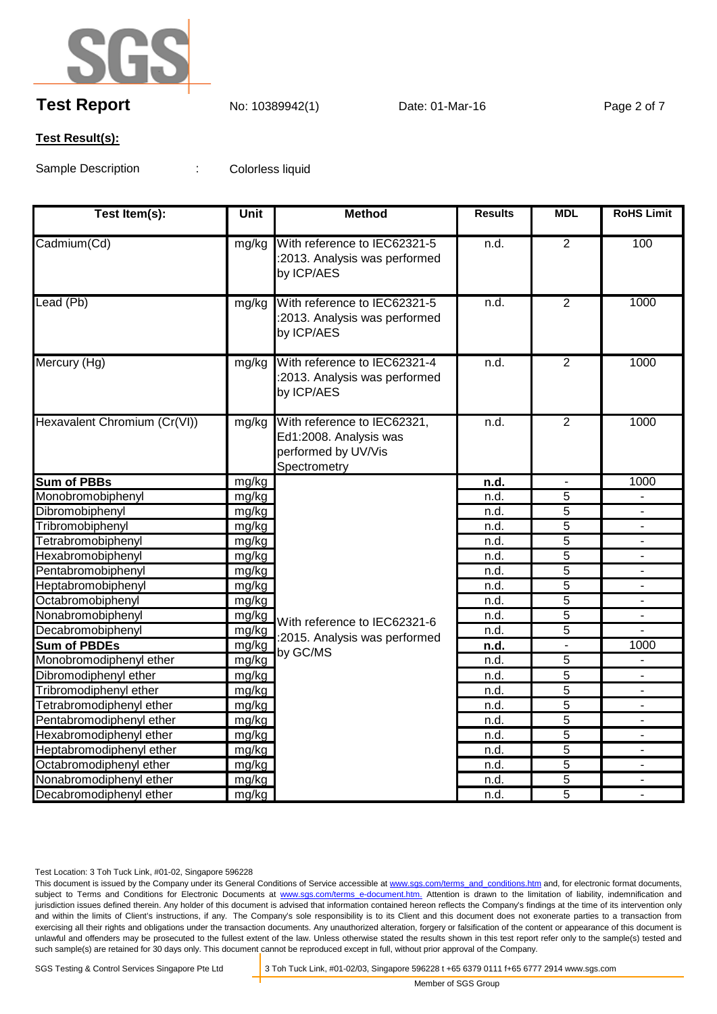

# **Test Report** No: 10389942(1) Date: 01-Mar-16 Page 2 of 7

#### **Test Result(s):**

Sample Description : Colorless liquid

| Test Item(s):                | Unit  | <b>Method</b>                                                                                | <b>Results</b> | <b>MDL</b>     | <b>RoHS Limit</b>        |
|------------------------------|-------|----------------------------------------------------------------------------------------------|----------------|----------------|--------------------------|
| Cadmium(Cd)                  | mg/kg | With reference to IEC62321-5<br>:2013. Analysis was performed<br>by ICP/AES                  | n.d.           | $\overline{2}$ | 100                      |
| Lead (Pb)                    | mg/kg | With reference to IEC62321-5<br>:2013. Analysis was performed<br>by ICP/AES                  | n.d.           | $\overline{2}$ | 1000                     |
| Mercury (Hg)                 | mg/kg | With reference to IEC62321-4<br>:2013. Analysis was performed<br>by ICP/AES                  | n.d.           | $\overline{2}$ | 1000                     |
| Hexavalent Chromium (Cr(VI)) | mg/kg | With reference to IEC62321,<br>Ed1:2008. Analysis was<br>performed by UV/Vis<br>Spectrometry | n.d.           | $\overline{2}$ | 1000                     |
| <b>Sum of PBBs</b>           | mg/kg |                                                                                              | n.d.           | $\blacksquare$ | 1000                     |
| Monobromobiphenyl            | mg/kg |                                                                                              | n.d.           | $\overline{5}$ |                          |
| Dibromobiphenyl              | mg/kg |                                                                                              | n.d.           | $\overline{5}$ | $\blacksquare$           |
| Tribromobiphenyl             | mg/kg |                                                                                              | n.d.           | $\overline{5}$ |                          |
| Tetrabromobiphenyl           | mg/kg |                                                                                              | n.d.           | $\overline{5}$ |                          |
| Hexabromobiphenyl            | mg/kg |                                                                                              | n.d.           | $\overline{5}$ |                          |
| Pentabromobiphenyl           | mg/kg |                                                                                              | n.d.           | $\overline{5}$ |                          |
| Heptabromobiphenyl           | mg/kg |                                                                                              | n.d.           | $\overline{5}$ |                          |
| Octabromobiphenyl            | mg/kg |                                                                                              | n.d.           | 5              | $\blacksquare$           |
| Nonabromobiphenyl            | mg/kg | With reference to IEC62321-6                                                                 | n.d.           | 5              | $\overline{\phantom{a}}$ |
| Decabromobiphenyl            | mg/kg | :2015. Analysis was performed<br>by GC/MS                                                    | n.d.           | 5              |                          |
| <b>Sum of PBDEs</b>          | mg/kg |                                                                                              | <u>n.d.</u>    |                | 1000                     |
| Monobromodiphenyl ether      | mg/kg |                                                                                              | n.d.           | 5              |                          |
| Dibromodiphenyl ether        | mg/kg |                                                                                              | n.d.           | $\overline{5}$ |                          |
| Tribromodiphenyl ether       | mg/kg |                                                                                              | n.d.           | $\overline{5}$ |                          |
| Tetrabromodiphenyl ether     | mg/kg |                                                                                              | n.d.           | $\overline{5}$ |                          |
| Pentabromodiphenyl ether     | mg/kg |                                                                                              | n.d.           | 5              | ÷                        |
| Hexabromodiphenyl ether      | mg/kg |                                                                                              | n.d.           | $\overline{5}$ | ٠.                       |
| Heptabromodiphenyl ether     | mg/kg |                                                                                              | n.d.           | 5              |                          |
| Octabromodiphenyl ether      | mg/kg |                                                                                              | n.d.           | $\overline{5}$ |                          |
| Nonabromodiphenyl ether      | mg/kg |                                                                                              | n.d.           | 5              |                          |
| Decabromodiphenyl ether      | mg/kg |                                                                                              | n.d.           | $\overline{5}$ |                          |

Test Location: 3 Toh Tuck Link, #01-02, Singapore 596228

This document is issued by the Company under its General Conditions of Service accessible at www.sgs.com/terms\_and\_conditions.htm and, for electronic format documents, subject to Terms and Conditions for Electronic Documents at www.sgs.com/terms\_e-document.htm. Attention is drawn to the limitation of liability, indemnification and jurisdiction issues defined therein. Any holder of this document is advised that information contained hereon reflects the Company's findings at the time of its intervention only and within the limits of Client's instructions, if any. The Company's sole responsibility is to its Client and this document does not exonerate parties to a transaction from exercising all their rights and obligations under the transaction documents. Any unauthorized alteration, forgery or falsification of the content or appearance of this document is unlawful and offenders may be prosecuted to the fullest extent of the law. Unless otherwise stated the results shown in this test report refer only to the sample(s) tested and such sample(s) are retained for 30 days only. This document cannot be reproduced except in full, without prior approval of the Company.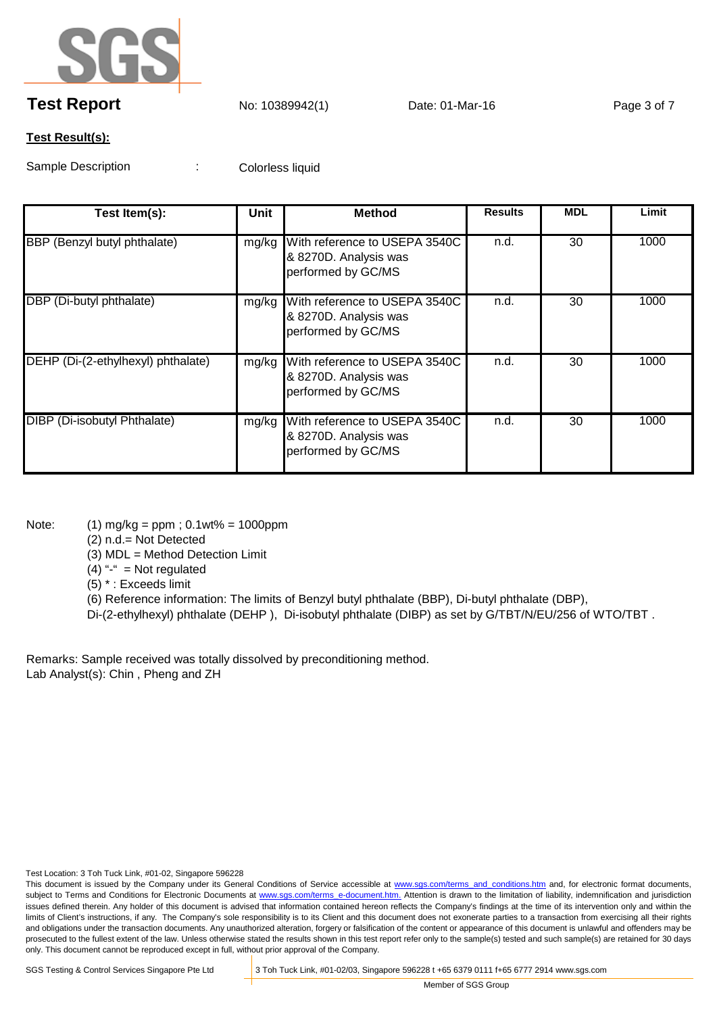

## **Test Report** No: 10389942(1) Date: 01-Mar-16 Page 3 of 7

#### **Test Result(s):**

Sample Description : Colorless liquid

| Test Item(s):                      | Unit  | <b>Method</b>                                                                      | <b>Results</b> | <b>MDL</b> | Limit |
|------------------------------------|-------|------------------------------------------------------------------------------------|----------------|------------|-------|
| BBP (Benzyl butyl phthalate)       | mg/kg | With reference to USEPA 3540C<br>& 8270D. Analysis was<br>performed by GC/MS       | n.d.           | 30         | 1000  |
| DBP (Di-butyl phthalate)           |       | mg/kg With reference to USEPA 3540C<br>& 8270D. Analysis was<br>performed by GC/MS | n.d.           | 30         | 1000  |
| DEHP (Di-(2-ethylhexyl) phthalate) | mg/kg | With reference to USEPA 3540C<br>& 8270D. Analysis was<br>performed by GC/MS       | n.d.           | 30         | 1000  |
| DIBP (Di-isobutyl Phthalate)       | mg/kg | With reference to USEPA 3540C<br>& 8270D. Analysis was<br>performed by GC/MS       | n.d.           | 30         | 1000  |

Note: (1) mg/kg = ppm ; 0.1wt% = 1000ppm

(2) n.d.= Not Detected

(3) MDL = Method Detection Limit

 $(4)$  "-" = Not regulated

(5) \* : Exceeds limit

(6) Reference information: The limits of Benzyl butyl phthalate (BBP), Di-butyl phthalate (DBP),

Di-(2-ethylhexyl) phthalate (DEHP ), Di-isobutyl phthalate (DIBP) as set by G/TBT/N/EU/256 of WTO/TBT .

Remarks: Sample received was totally dissolved by preconditioning method. Lab Analyst(s): Chin , Pheng and ZH

Test Location: 3 Toh Tuck Link, #01-02, Singapore 596228

This document is issued by the Company under its General Conditions of Service accessible at www.sgs.com/terms\_and\_conditions.htm and, for electronic format documents, subject to Terms and Conditions for Electronic Documents at www.sgs.com/terms e-document.htm. Attention is drawn to the limitation of liability, indemnification and jurisdiction issues defined therein. Any holder of this document is advised that information contained hereon reflects the Company's findings at the time of its intervention only and within the limits of Client's instructions, if any. The Company's sole responsibility is to its Client and this document does not exonerate parties to a transaction from exercising all their rights and obligations under the transaction documents. Any unauthorized alteration, forgery or falsification of the content or appearance of this document is unlawful and offenders may be prosecuted to the fullest extent of the law. Unless otherwise stated the results shown in this test report refer only to the sample(s) tested and such sample(s) are retained for 30 days only. This document cannot be reproduced except in full, without prior approval of the Company.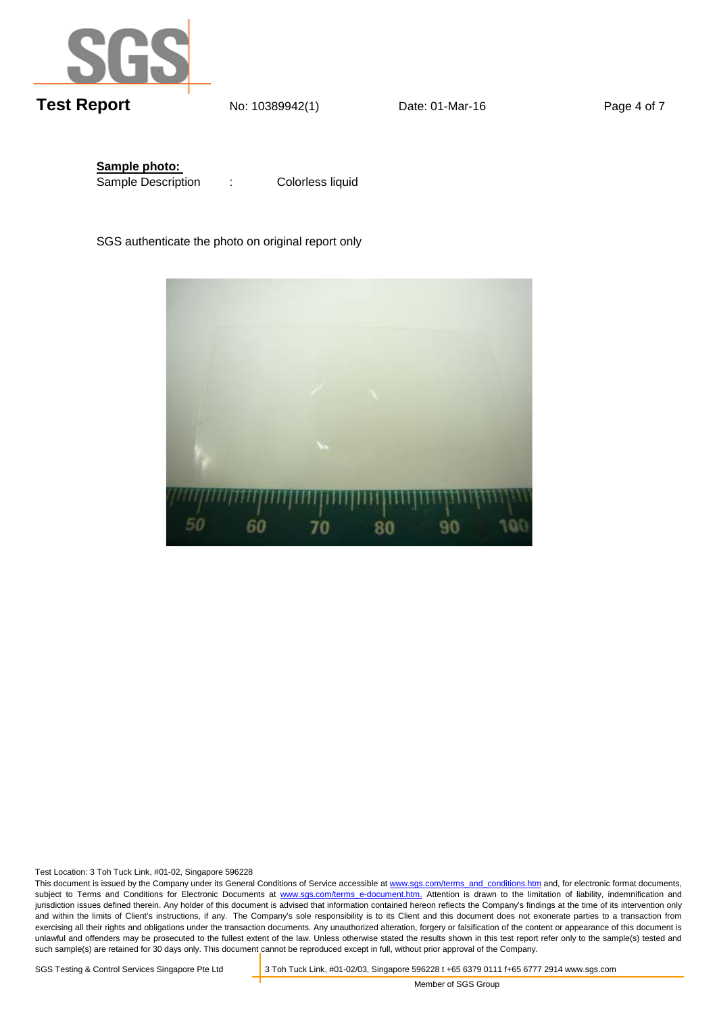

**Sample photo:**  Sample Description :

Colorless liquid

SGS authenticate the photo on original report only



Test Location: 3 Toh Tuck Link, #01-02, Singapore 596228

This document is issued by the Company under its General Conditions of Service accessible at www.sgs.com/terms\_and\_conditions.htm and, for electronic format documents, subject to Terms and Conditions for Electronic Documents at www.sgs.com/terms e-document.htm. Attention is drawn to the limitation of liability, indemnification and jurisdiction issues defined therein. Any holder of this document is advised that information contained hereon reflects the Company's findings at the time of its intervention only and within the limits of Client's instructions, if any. The Company's sole responsibility is to its Client and this document does not exonerate parties to a transaction from exercising all their rights and obligations under the transaction documents. Any unauthorized alteration, forgery or falsification of the content or appearance of this document is unlawful and offenders may be prosecuted to the fullest extent of the law. Unless otherwise stated the results shown in this test report refer only to the sample(s) tested and such sample(s) are retained for 30 days only. This document cannot be reproduced except in full, without prior approval of the Company.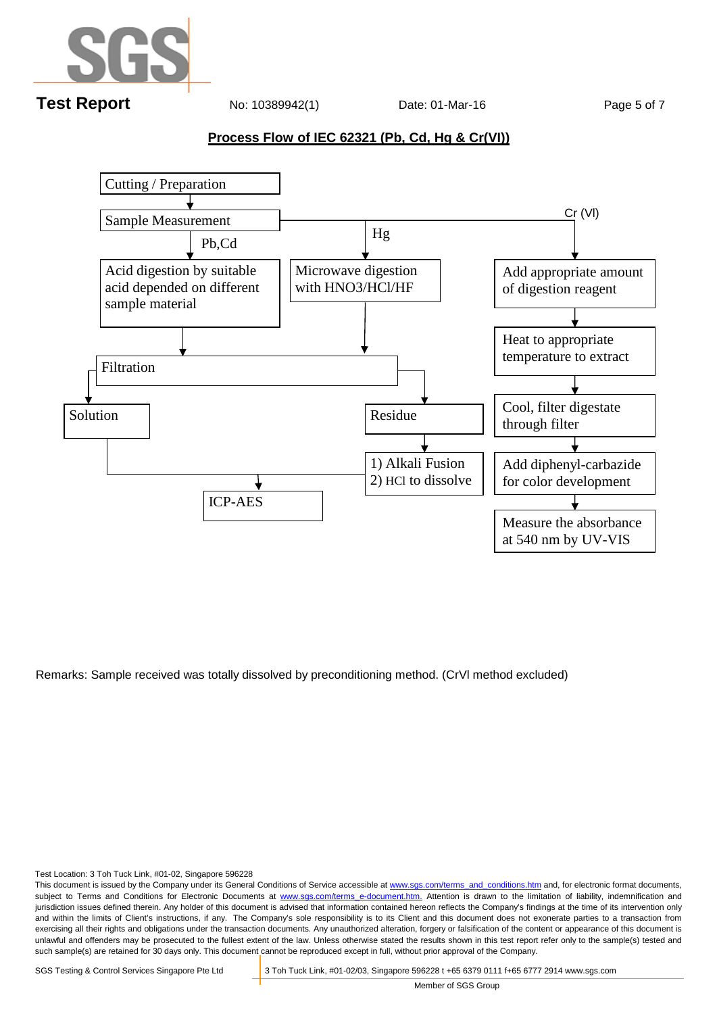

### **Process Flow of IEC 62321 (Pb, Cd, Hg & Cr(VI))**



Remarks: Sample received was totally dissolved by preconditioning method. (CrVl method excluded)

Test Location: 3 Toh Tuck Link, #01-02, Singapore 596228

This document is issued by the Company under its General Conditions of Service accessible at www.sgs.com/terms\_and\_conditions.htm and, for electronic format documents, subject to Terms and Conditions for Electronic Documents at www.sgs.com/terms e-document.htm. Attention is drawn to the limitation of liability, indemnification and jurisdiction issues defined therein. Any holder of this document is advised that information contained hereon reflects the Company's findings at the time of its intervention only and within the limits of Client's instructions, if any. The Company's sole responsibility is to its Client and this document does not exonerate parties to a transaction from exercising all their rights and obligations under the transaction documents. Any unauthorized alteration, forgery or falsification of the content or appearance of this document is unlawful and offenders may be prosecuted to the fullest extent of the law. Unless otherwise stated the results shown in this test report refer only to the sample(s) tested and such sample(s) are retained for 30 days only. This document cannot be reproduced except in full, without prior approval of the Company.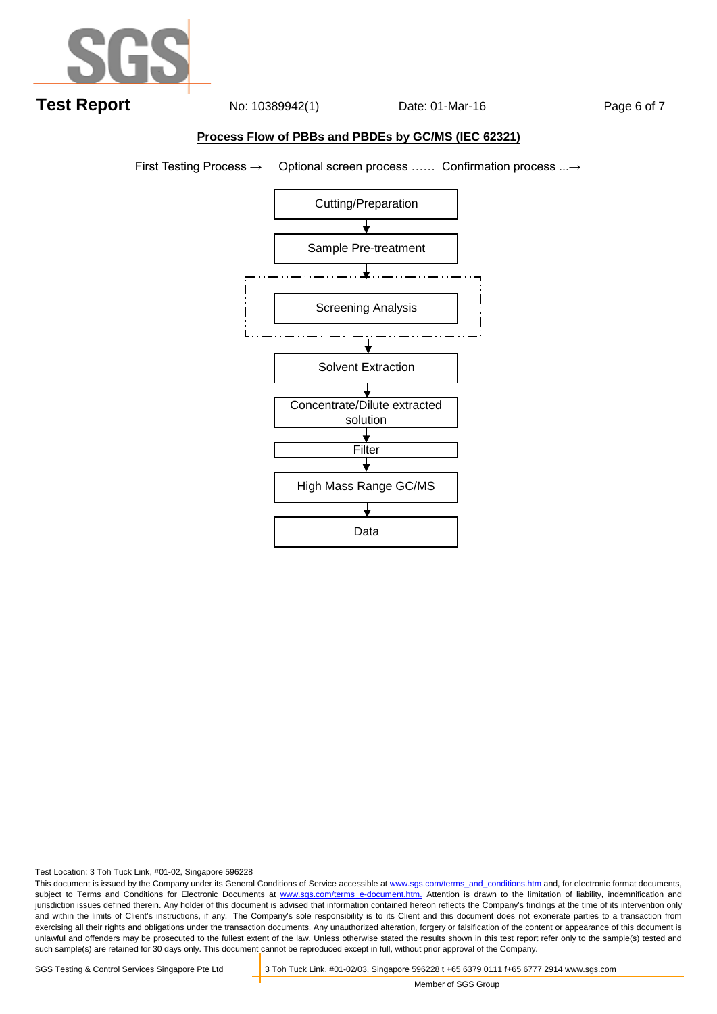

#### **Process Flow of PBBs and PBDEs by GC/MS (IEC 62321)**

First Testing Process → Optional screen process …… Confirmation process ...→



Test Location: 3 Toh Tuck Link, #01-02, Singapore 596228

This document is issued by the Company under its General Conditions of Service accessible at www.sgs.com/terms\_and\_conditions.htm and, for electronic format documents, subject to Terms and Conditions for Electronic Documents at www.sgs.com/terms e-document.htm. Attention is drawn to the limitation of liability, indemnification and jurisdiction issues defined therein. Any holder of this document is advised that information contained hereon reflects the Company's findings at the time of its intervention only and within the limits of Client's instructions, if any. The Company's sole responsibility is to its Client and this document does not exonerate parties to a transaction from exercising all their rights and obligations under the transaction documents. Any unauthorized alteration, forgery or falsification of the content or appearance of this document is unlawful and offenders may be prosecuted to the fullest extent of the law. Unless otherwise stated the results shown in this test report refer only to the sample(s) tested and such sample(s) are retained for 30 days only. This document cannot be reproduced except in full, without prior approval of the Company.